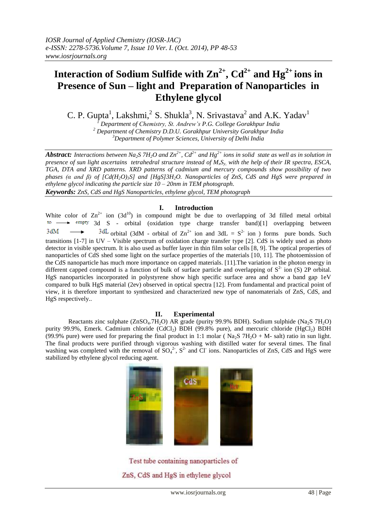# **Interaction** of Sodium Sulfide with  $\text{Zn}^{2+}$ ,  $\text{Cd}^{2+}$  and  $\text{Hg}^{2+}$  ions in **Presence of Sun – light and Preparation of Nanoparticles in Ethylene glycol**

C. P. Gupta<sup>1</sup>, Lakshmi, <sup>2</sup> S. Shukla<sup>3</sup>, N. Srivastava<sup>2</sup> and A.K. Yadav<sup>1</sup>

*<sup>1</sup> Department of Chemistry, St. Andrew's P.G. College Gorakhpur India <sup>2</sup> Department of Chemistry D.D.U. Gorakhpur University Gorakhpur India <sup>3</sup>Department of Polymer Sciences, University of Delhi India*

*Abstract:* Interactions between Na<sub>2</sub>S 7H<sub>2</sub>O and Zn<sup>2+</sup>, Cd<sup>2+</sup> and Hg<sup>2+</sup> ions in solid state as well as in solution in *presence of sun light ascertains tetrahedral structure instead of MxSy, with the help of their IR spectra, ESCA, TGA, DTA and XRD patterns. XRD patterns of cadmium and mercury compounds show possibility of two phases (α and β) of [Cd(H2O)3S] and [HgS]3H2O. Nanoparticles of ZnS, CdS and HgS were prepared in ethylene glycol indicating the particle size 10 – 20nm in TEM photograph. Keywords: ZnS, CdS and HgS Nanoparticles, ethylene glycol, TEM photograph*

## **I. Introduction**

White color of  $\text{Zn}^{2+}$  ion (3d<sup>10</sup>) in compound might be due to overlapping of 3d filled metal orbital  $\mathsf{to}$ .  $\rightarrow$  empty 3d S - orbital (oxidation type charge transfer band)[1] overlapping between  $3dM$ orbital (3dM - orbital of  $\text{Zn}^{2+}$  ion and 3dL =  $\text{S}^{2-}$  ion ) forms pure bonds. Such transitions [1-7] in UV – Visible spectrum of oxidation charge transfer type [2]. CdS is widely used as photo detector in visible spectrum. It is also used as buffer layer in thin film solar cells [8, 9]. The optical properties of nanoparticles of CdS shed some light on the surface properties of the materials [10, 11]. The photoemission of the CdS nanoparticle has much more importance on capped materials. [11].The variation in the photon energy in different capped compound is a function of bulk of surface particle and overlapping of  $S<sup>2</sup>$  ion (S) 2P orbital. HgS nanoparticles incorporated in polystyrene show high specific surface area and show a band gap 1eV compared to bulk HgS material (2ev) observed in optical spectra [12]. From fundamental and practical point of view, it is therefore important to synthesized and characterized new type of nanomaterials of ZnS, CdS, and HgS respectively..

## **II. Experimental**

Reactants zinc sulphate ( $ZnSO_4.7H_2O$ ) AR grade (purity 99.9% BDH). Sodium sulphide (Na<sub>2</sub>S 7H<sub>2</sub>O) purity 99.9%, Emerk. Cadmium chloride (CdCl<sub>2</sub>) BDH (99.8% pure), and mercuric chloride (HgCl<sub>2</sub>) BDH (99.9% pure) were used for preparing the final product in 1:1 molar ( $\text{Na}_2\text{S}$  7H<sub>2</sub>O + M- salt) ratio in sun light. The final products were purified through vigorous washing with distilled water for several times. The final washing was completed with the removal of  $SO_4^2$ ,  $S^2$  and Cl ions. Nanoparticles of ZnS, CdS and HgS were stabilized by ethylene glycol reducing agent.



Test tube containing nanoparticles of ZnS, CdS and HgS in ethylene glycol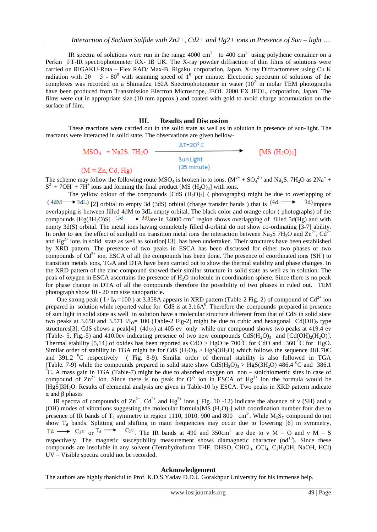IR spectra of solutions were run in the range 4000 cm<sup>1-</sup> to 400 cm<sup>1-</sup> using polythene container on a Perkin FT-IR spectrophotometer RX- IB UK. The X-ray powder diffraction of thin films of solutions were carried on RIGAKU-Rota – Flex RAD/ Max-B, Rigaku, corporation, Japan, X-ray Diffractometer using Cu K radiation with  $2\theta = 5$  - 80<sup>0</sup> with scanning speed of 1<sup>0</sup> per minute. Electronic spectrum of solutions of the complexes was recorded on a Shimadzu 160A Spectrophotometer in water  $(10^{2} \text{ m molar TEM photographs})$ have been produced from Transmission Electron Microscope, JEOL 2000 EX JEOL, corporation, Japan. The films were cut in appropriate size (10 mm approx.) and coated with gold to avoid charge accumulation on the surface of film.

## **III. Results and Discussion**

These reactions were carried out in the solid state as well as in solution in presence of sun-light. The reactants were interacted in solid state. The observations are given bellow-

> $\Delta T = 20^{\circ} C$  $MSO<sub>4</sub> + Na2S. 7H<sub>2</sub>O -$ [MS  $(H_2O)_3$ ] Sun Light<br>(35 minute)  $(M = Zn, Cd, Hg)$

The scheme may follow the following route MSO<sub>4</sub> is broken in to ions.  $(M^{2+} + SO_4^{2-})$  and Na<sub>2</sub>S. 7H<sub>2</sub>O as  $2Na^+ +$  $S^{2}$  + 7OH<sup>-</sup> + 7H<sup>+</sup> ions and forming the final product [MS (H<sub>2</sub>O)<sub>3</sub>] with ions.

The yellow colour of the compounds  $[CdS (H<sub>2</sub>O)<sub>3</sub>]$  (photographs) might be due to overlapping of  $(4dM \rightarrow 3dL)$  [2] orbital to empty 3d (3dS) orbital (charge transfer bands) that is  $(4d \rightarrow 3d)$  impure overlapping is between filled 4dM to 3dL empty orbital. The black color and orange color ( photographs) of the compounds [Hg(3H<sub>2</sub>O)S] <sup>(5d</sup>  $\longrightarrow$  <sup>3d)</sup>are in 34000 cm<sup>1-</sup> region shows overlapping of filled 5d(Hg) and with empty 3d(S) orbital. The metal ions having completely filled d-orbital do not show co-ordinating [3-7] ability. In order to see the effect of sunlight on transition metal ions the interaction between Na<sub>2</sub>S 7H<sub>2</sub>O and Zn<sup>2+</sup>, Cd<sup>2</sup> and  $Hg^{2+}$  ions in solid state as well as solution[13] has been undertaken. Their structures have been established by XRD pattern. The presence of two peaks in ESCA has been discussed for either two phases or two compounds of  $Cd^{2+}$  ion. ESCA of all the compounds has been done. The presence of coordinated ions (SH) to transition metals ions, TGA and DTA have been carried out to show the thermal stability and phase changes. In the XRD pattern of the zinc compound showed their similar structure in solid state as well as in solution. The peak of oxygen in ESCA ascertains the presence of H2O molecule in coordination sphere. Since there is no peak for phase change in DTA of all the compounds therefore the possibility of two phases in ruled out. TEM photograph show 10 - 20 nm size nanoparticle.

One strong peak ( $I/I_0 = 100$ ) at 3.358A appears in XRD pattern (Table-2 Fig.-2) of compound of Cd<sup>2+</sup> ion prepared in solution while reported value for CdS is at  $3.16A^0$ . Therefore the compounds prepared in presence of sun light in solid state as well in solution have a molecular structure different from that of CdS in solid state two peaks at 3.650 and 3.571  $1/I_0$ = 100 (Table-2 Fig-2) might be due to cubic and hexagonal Cd(OH)<sub>2</sub> type structures[3]. CdS shows a peak[4] (4d<sub>5/2</sub>) at 405 ev only while our compound shows two peaks at 419.4 ev (Table- 5, Fig.-5) and 410.0ev indicating presence of two new compounds  $CdS(H_2O)_3$  and  $[Cd(OH)_2(H_2O)]$ . Thermal stability [5,14] of oxides has been reported as  $CdO > HgO$  ie 700<sup>o</sup>C for CdO and 360<sup>o</sup>C for HgO. Similar order of stability in TGA might be for CdS  $(H_2O)_3 > HgS(3H_2O)$  which follows the sequence 481.70C and 391.2 <sup>o</sup>C respectively (Fig. 8-9). Similar order of thermal stability is also followed in TGA (Table. 7-9) while the compounds prepared in solid state show  $CdS(H_2O)_3 > HgS(3H_2O)$  486.4 <sup>0</sup>C and 386.1  ${}^{0}C$ . A mass gain in TGA (Table-7) might be due to absorbed oxygen on non – stoichiometric sites in case of compound of  $\text{Zn}^{2+}$  ion. Since there is no peak for  $\text{O}^{2-}$  ion in ESCA of Hg<sup>2+</sup> ion the formula would be [HgS]3H2O. Results of elemental analysis are given in Table-10 by ESCA. Two peaks in XRD pattern indicate α and β phases

IR spectra of compounds of  $\text{Zn}^{2+}$ ,  $\text{Cd}^{2+}$  and Hg<sup>2+</sup> ions (Fig. 10 -12) indicate the absence of v (SH) and v (OH) modes of vibrations suggesting the molecular formula [MS  $(H_2O)_3$ ] with coordination number four due to presence of IR bands of T<sub>d</sub> symmetry in region 1110, 1010, 900 and 800 cm<sup>1</sup>. While  $M_xS_y$  compound do not show  $T_d$  bands. Splitting and shifting in main frequencies may occur due to lowering [6] in symmetry, or  $T_d \longrightarrow C_2v$ . The IR bands at 490 and 350cm<sup>1-</sup> are due to v M – O and v M – S respectively. The magnetic susceptibility measurement shows diamagnetic character  $(nd^{10})$ . Since these compounds are insoluble in any solvent (Tetrahydrofuran THF, DHSO, CHCl<sub>3</sub>, CCl<sub>4</sub>, C<sub>2</sub>H<sub>5</sub>OH, NaOH, HCl) UV – Visible spectra could not be recorded.

#### **Acknowledgement**

The authors are highly thankful to Prof. K.D.S.Yadav D.D.U Gorakhpur University for his immense help.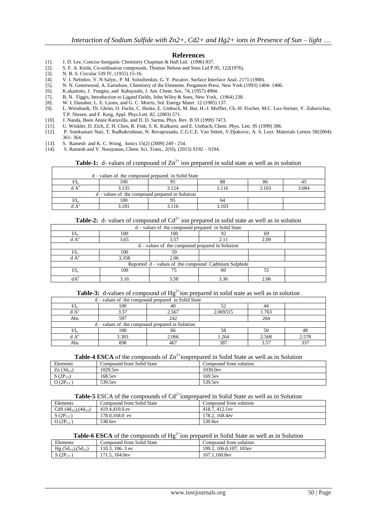#### **References**

- [1]. J. D. Lee, Concise Inorganic Chemistry Chapman & Hall Ltd. (1996) 837.
- [2]. S. F. A. Kittle, Co-ordination compounds. Thomas Nelson and Sons Ltd P.95, 122(1976).
- N. B. S. Circular 539 IV, (1955) 15-16.

 $\overline{1}$ 

- [4]. V. I. Nefedov, Y. N Salyn., P. M. Solozhenkin, G. Y. Pucatov, Surface Interface Anal. 2171 (1980).
- [5]. N. N. Greenwood, A. Earnshaw, Chemistry of the Elements. Pergamon Press, New York (1993) 1404- 1406.
- [6]. K.akamoto, J. Fungita, and Kabayashi, J. Am. Chem. Soc, 74, (1957) 4904.
- [7]. B. N. Figgis, Introduction to Ligand Fields, John Wiley & Sons, New York, (1964) 238. [8]. W. I. Danaher, L. E. Lyons, and G. C. Morris, Sol. Energy Mater. 12 (1985) 137.
- [8]. W. I. Danaher, L. E. Lyons, and G. C. Morris, Sol. Energy Mater. 12 (1985) 137. L. Weinhardt, Th. Gleim, O. Fuchs, C. Heske, E. Umbach, M. Bar, H.-J. Muffler, Ch.-H. Fischer, M.C. Lux-Steiner, Y. Zubavichus, T.P. Niesen, and F. Karg, Appl. Phys.Lett. 82, (2003) 571.
- [10]. J. Nanda, Been Annie Kuruvilla, and D. D. Sarma, Phys. Rev. B 59 (1999) 7473.
- [11]. U. Winkler, D. Eich, Z. H. Chen, R. Fink, S. K. Kulkarni, and E. Umbach, Chem. Phys. Lett. 95 (1999) 306.
- [12]. P. Sreekumari Nair, T, Radhakrishnan, N. Revaprasadu, C.G.C.E. Van Sittert, V.Djokovic, A. S. Luyt. Materials Letters 58(2004) 361- 364.
- [13]. S. Ramesh and K. C. Wong, Ionics 15(2) (2009) 249 254.
- S. Ramesh and V. Narayanan, Chem. Sci. Trans., 2(SI), (2013) S192 S194.

## **Table-1:** d- values of compound of  $Zn^{2+}$  ion prepared in solid state as well as in solution

| $d$ – values of the compound prepared in Solid State |       |       |    |       |       |
|------------------------------------------------------|-------|-------|----|-------|-------|
| l/ lo                                                | 100   |       | 0C | 8¢    |       |
|                                                      | 3.135 | 3.124 |    | 3.163 | 3 በՋ∠ |
| $d$ – values of the compound prepared in Solution    |       |       |    |       |       |
| l/ lo                                                | 100   |       | 04 |       |       |
|                                                      | .181  |       |    |       |       |

**Table-2:** d- values of compound of  $Cd^{2+}$  ion prepared in solid state as well as in solution

| $d$ – values of the compound prepared in Solid State |       |      |      |      |  |  |
|------------------------------------------------------|-------|------|------|------|--|--|
| $\rm U\,_{o}$                                        | 100   | 100  |      | 69   |  |  |
| $dA^{\circ}$                                         | 3.65  | 3.57 | 2.11 | 2.09 |  |  |
| $d$ – values of the compound prepared in Solution    |       |      |      |      |  |  |
| $VI_{\alpha}$                                        | 100   | 59   |      |      |  |  |
| $dA^{\circ}$                                         | 3.358 | 2.06 |      |      |  |  |
| Reported d – values of the compound Cadmium Sulphide |       |      |      |      |  |  |
| $\mathbf{I}/\mathbf{I}_{\alpha}$                     | 100   |      | 60   | 55   |  |  |
| dA°                                                  | 3.16  | 3.58 | 3.36 | 2.06 |  |  |

# **Table-3:** d-values of compound of Hg<sup>2+</sup>ion prepared in solid state as well as in solution

| $d$ – values of the compound prepared in Solid State |       |       |          |       |       |
|------------------------------------------------------|-------|-------|----------|-------|-------|
| $VI_{\alpha}$                                        | 100   |       |          | 44    |       |
| $dA^{\circ}$                                         |       | 2.567 | 2.069315 | 1.763 |       |
| Abs                                                  | 507   | 242   |          | 264   |       |
| $d$ – values of the compound prepared in Solution    |       |       |          |       |       |
| $VI_{\alpha}$                                        | 100   | 66    | 58       | 50    |       |
| $\Lambda^0$                                          | 3.383 | 2.066 | 1.264    | 2.568 | 2.578 |
| Abs                                                  | 898   |       | 387      |       |       |

**Table-4 ESCA** of the compounds of  $\text{Zn}^{2+}$ ionprepared in Solid State as well as in Solution

| Elements       | Compound from Solid State | Compound from solution." |
|----------------|---------------------------|--------------------------|
| $Zn(3d_{3/2})$ | 1029.5ev                  | 1030.0ev                 |
| $S(2P_{1/2})$  | 168.5ev                   | 169.5ev                  |
| $O(2P_{1/2})$  | 539.5ev                   | 539.5ev                  |

#### **Table-5** ESCA of the compounds of  $Cd<sup>2+</sup>$  ionprepared in Solid State as well as in Solution

| Elements                        | Compound from Solid State | Compound from solution |
|---------------------------------|---------------------------|------------------------|
| CdS $(4d_{3/2})$ , $(4d_{5/2})$ | 419.4.410.0.ev            | 418.7, 412.1ev         |
| $S(2P_{1/2})$                   | 178.0.168.0 ev            | 178.2.168.4ev          |
| $O(2P_{1/2})$                   | 538.6ev                   | 539.8ev                |

# **Table-6 ESCA** of the compounds of  $Hg^{2+}$ ion prepared in Solid State as well as in Solution

| Elements                       | Compound from Solid State | Compound from solution     |
|--------------------------------|---------------------------|----------------------------|
| $Hg (5d_{3/2})$ , $(5d_{5/2})$ | 10.3.<br>$106.3$ ev       | 106.0.107, 103ev<br>109.2. |
| $S(2P_{1/2})$                  | 71.5.<br>164.0ev          | 167.1.160.8ev              |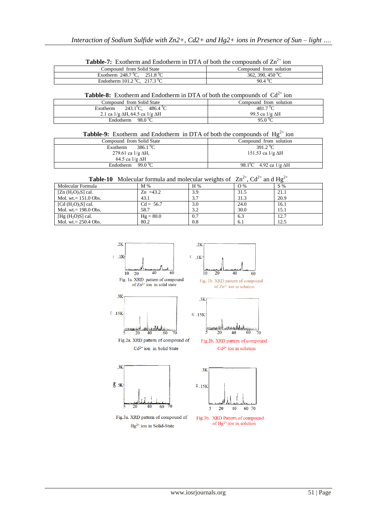| <b>Tabble-7:</b> Exotherm and Endotherm in $DIA$ of both the compounds of $Zn$<br>- 10 H |                        |  |  |  |
|------------------------------------------------------------------------------------------|------------------------|--|--|--|
| Compound from Solid State                                                                | Compound from solution |  |  |  |
| Exotherm $248.7^{\circ}$ C. $251.8^{\circ}$ C                                            | 362, 390, 450 °C       |  |  |  |
| Endotherm $101.2 \,^{\circ}\text{C}$ , $217.3 \,^{\circ}\text{C}$                        | 90.4 °C                |  |  |  |

**Tabble-7:** Exotherm and Endotherm in DTA of both the compounds of  $Zn^{2+}$  ion

**Tabble-8:** Exotherm and Endotherm in DTA of both the compounds of  $Cd^{2+}$  ion

| Compound from Solid State                       | Compound from solution |  |  |  |
|-------------------------------------------------|------------------------|--|--|--|
| $243.1^{\circ}$ C.<br>$486.4\,^0$ C<br>Exotherm | 481.7 $^0C$            |  |  |  |
| 2.1 ca $1/g \Delta H$ , 64.5 ca $1/g \Delta H$  | 99.5 ca $1/g \Delta H$ |  |  |  |
| 98.0 °C<br>Endotherm                            | 95.0 °C                |  |  |  |

**Tabble-9:** Exotherm and Endotherm in DTA of both the compounds of  $Hg^{2+}$  ion

| Compound from Solid State        | Compound from solution                     |
|----------------------------------|--------------------------------------------|
| 386.1 <sup>0</sup> C<br>Exotherm | 391.2 <sup>0</sup> C                       |
| 279.61 ca $1/g \Delta H$ ,       | 151.53 ca $1/g \Delta H$                   |
| 64.5 ca $1/g \Delta H$           |                                            |
| 99.0 °C<br>Endotherm             | 98.1 <sup>o</sup> C 4.92 ca 1/g $\Delta H$ |

**Table-10** Molecular formula and molecular weights of  $\text{Zn}^{2+}$ ,  $\text{Cd}^{2+}$  and  $\text{Hg}^{2+}$ 

| Molecular Formula               | M %         | H % | O%   | S %  |
|---------------------------------|-------------|-----|------|------|
| $[Zn(H_2O)_3S]$ cal.            | $Zn = 43.2$ | 3.9 | 31.5 | 21.1 |
| Mol. wt. $= 151.0 \text{ Obs.}$ | 43.1        | 3.7 | 31.3 | 20.9 |
| [Cd $(H_2O)_3S$ ] cal.          | $Cd = 56.7$ | 3.0 | 24.0 | 16.1 |
| Mol. wt. $= 198.0 \text{ Obs.}$ | 58.7        | 3.2 | 30.0 | 15.1 |
| [Hg $(H_2O)S$ ] cal.            | $Hg = 80.0$ | 0.7 | 6.3  | 12.7 |
| Mol. wt. $= 250.4$ Obs.         | 80.2        | 0.8 | 6.1  | 12.5 |







Fig.2b. XRD pattern of compound  $Cd^{2+}$  ion in solution



Fig.3a. XRD pattern of compound of  $Hg^{2+}$  ion in Solid-State



Fig.3b. XRD Pattern of compound of  $Hg^{2+}$  ion in solution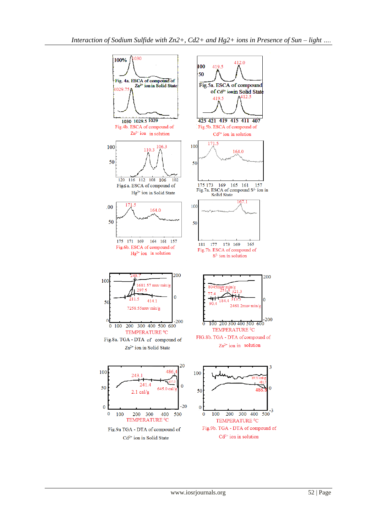